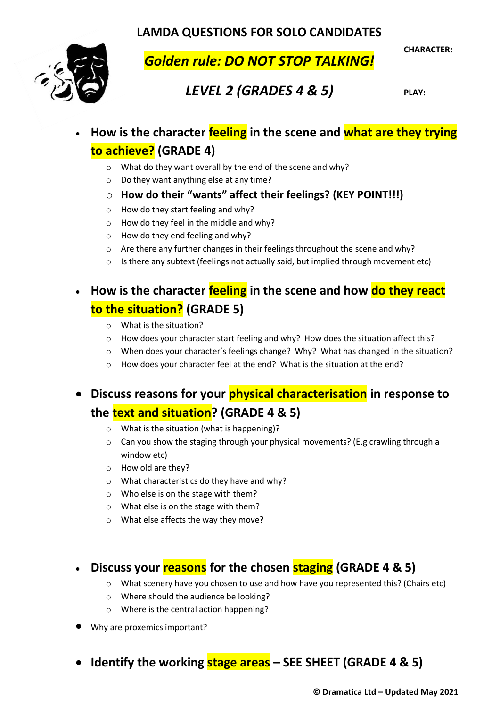**LAMDA QUESTIONS FOR SOLO CANDIDATES**



*Golden rule: DO NOT STOP TALKING!*

**CHARACTER:**

# *LEVEL 2 (GRADES 4 & 5)*

**PLAY:**

- **How is the character feeling in the scene and what are they trying to achieve? (GRADE 4)**
	- o What do they want overall by the end of the scene and why?
	- o Do they want anything else at any time?
	- o **How do their "wants" affect their feelings? (KEY POINT!!!)**
	- o How do they start feeling and why?
	- o How do they feel in the middle and why?
	- o How do they end feeling and why?
	- o Are there any further changes in their feelings throughout the scene and why?
	- $\circ$  Is there any subtext (feelings not actually said, but implied through movement etc)

# • **How is the character feeling in the scene and how do they react to the situation? (GRADE 5)**

- o What is the situation?
- o How does your character start feeling and why? How does the situation affect this?
- o When does your character's feelings change? Why? What has changed in the situation?
- o How does your character feel at the end? What is the situation at the end?

# • **Discuss reasons for your physical characterisation in response to**

## **the text and situation? (GRADE 4 & 5)**

- o What is the situation (what is happening)?
- $\circ$  Can you show the staging through your physical movements? (E.g crawling through a window etc)
- o How old are they?
- o What characteristics do they have and why?
- o Who else is on the stage with them?
- o What else is on the stage with them?
- o What else affects the way they move?

## • **Discuss your reasons for the chosen staging (GRADE 4 & 5)**

- o What scenery have you chosen to use and how have you represented this? (Chairs etc)
- o Where should the audience be looking?
- o Where is the central action happening?
- Why are proxemics important?
- **Identify the working stage areas – SEE SHEET (GRADE 4 & 5)**